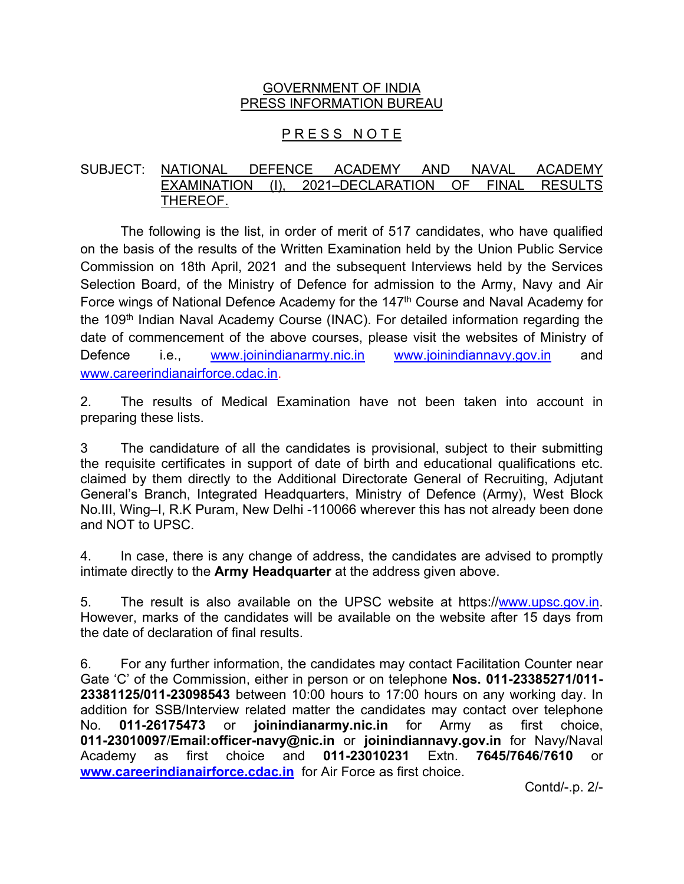### GOVERNMENT OF INDIA PRESS INFORMATION BUREAU

# PRESS NOTE

#### SUBJECT: NATIONAL DEFENCE ACADEMY AND NAVAL ACADEMY EXAMINATION (I), 2021-DECLARATION OF FINAL RESULTS THEREOF.

The following is the list, in order of merit of 517 candidates, who have qualified on the basis of the results of the Written Examination held by the Union Public Service Commission on 18th April, 2021 and the subsequent Interviews held by the Services Selection Board, of the Ministry of Defence for admission to the Army, Navy and Air Force wings of National Defence Academy for the 147<sup>th</sup> Course and Naval Academy for the 109<sup>th</sup> Indian Naval Academy Course (INAC). For detailed information regarding the date of commencement of the above courses, please visit the websites of Ministry of Defence i.e., www.joinindianarmy.nic.in www.joinindiannavy.gov.in and www.careerindianairforce.cdac.in.

2. The results of Medical Examination have not been taken into account in preparing these lists.

3 The candidature of all the candidates is provisional, subject to their submitting the requisite certificates in support of date of birth and educational qualifications etc. claimed by them directly to the Additional Directorate General of Recruiting, Adjutant General's Branch, Integrated Headquarters, Ministry of Defence (Army), West Block No.III, Wing–I, R.K Puram, New Delhi -110066 wherever this has not already been done and NOT to UPSC.

4. In case, there is any change of address, the candidates are advised to promptly intimate directly to the **Army Headquarter** at the address given above.

5. The result is also available on the UPSC website at https://www.upsc.gov.in. However, marks of the candidates will be available on the website after 15 days from the date of declaration of final results.

6. For any further information, the candidates may contact Facilitation Counter near Gate 'C' of the Commission, either in person or on telephone **Nos. 011-23385271/011- 23381125/011-23098543** between 10:00 hours to 17:00 hours on any working day. In addition for SSB/Interview related matter the candidates may contact over telephone No. **011-26175473** or **joinindianarmy.nic.in** for Army as first choice, **011-23010097**/**Email:officer-navy@nic.in** or **joinindiannavy.gov.in** for Navy/Naval Academy as first choice and **011-23010231** Extn. **7645/7646**/**7610** or **www.careerindianairforce.cdac.in** for Air Force as first choice.

Contd/-.p. 2/-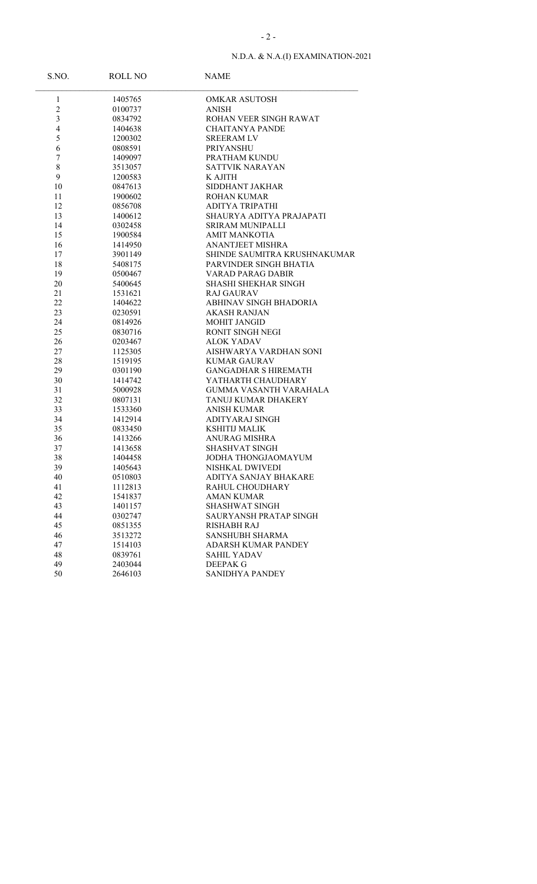| S.NO.                   | <b>ROLL NO</b> | <b>NAME</b>                   |
|-------------------------|----------------|-------------------------------|
| $\mathbf{1}$            | 1405765        | <b>OMKAR ASUTOSH</b>          |
| $\overline{c}$          | 0100737        | <b>ANISH</b>                  |
| $\overline{\mathbf{3}}$ | 0834792        | ROHAN VEER SINGH RAWAT        |
| $\overline{4}$          | 1404638        | <b>CHAITANYA PANDE</b>        |
| 5                       | 1200302        | <b>SREERAM LV</b>             |
| 6                       | 0808591        | PRIYANSHU                     |
| 7                       | 1409097        | PRATHAM KUNDU                 |
| $\,$ $\,$               | 3513057        | <b>SATTVIK NARAYAN</b>        |
| 9                       | 1200583        | K AJITH                       |
| 10                      | 0847613        | SIDDHANT JAKHAR               |
| 11                      | 1900602        | <b>ROHAN KUMAR</b>            |
| 12                      | 0856708        | <b>ADITYA TRIPATHI</b>        |
| 13                      | 1400612        | SHAURYA ADITYA PRAJAPATI      |
| 14                      | 0302458        | <b>SRIRAM MUNIPALLI</b>       |
| 15                      | 1900584        | <b>AMIT MANKOTIA</b>          |
| 16                      | 1414950        | <b>ANANTJEET MISHRA</b>       |
| 17                      | 3901149        | SHINDE SAUMITRA KRUSHNAKUMAR  |
| 18                      | 5408175        | PARVINDER SINGH BHATIA        |
| 19                      | 0500467        | VARAD PARAG DABIR             |
| 20                      | 5400645        | SHASHI SHEKHAR SINGH          |
| 21                      | 1531621        | RAJ GAURAV                    |
| 22                      | 1404622        | ABHINAV SINGH BHADORIA        |
| 23                      | 0230591        | <b>AKASH RANJAN</b>           |
| 24                      | 0814926        | <b>MOHIT JANGID</b>           |
| 25                      | 0830716        | <b>RONIT SINGH NEGI</b>       |
| 26                      | 0203467        | <b>ALOK YADAV</b>             |
| 27                      | 1125305        | AISHWARYA VARDHAN SONI        |
| 28                      | 1519195        | <b>KUMAR GAURAV</b>           |
| 29                      | 0301190        | <b>GANGADHAR S HIREMATH</b>   |
| 30                      | 1414742        | YATHARTH CHAUDHARY            |
| 31                      | 5000928        | <b>GUMMA VASANTH VARAHALA</b> |
| 32                      | 0807131        | TANUJ KUMAR DHAKERY           |
| 33                      | 1533360        | <b>ANISH KUMAR</b>            |
| 34                      | 1412914        | ADITYARAJ SINGH               |
| 35                      | 0833450        | <b>KSHITIJ MALIK</b>          |
| 36                      | 1413266        | ANURAG MISHRA                 |
| 37                      | 1413658        | SHASHVAT SINGH                |
| 38                      | 1404458        | JODHA THONGJAOMAYUM           |
| 39                      | 1405643        | NISHKAL DWIVEDI               |
| 40                      | 0510803        | ADITYA SANJAY BHAKARE         |
| 41                      | 1112813        | RAHUL CHOUDHARY               |
| 42                      | 1541837        | <b>AMAN KUMAR</b>             |
| 43                      | 1401157        | SHASHWAT SINGH                |
| 44                      | 0302747        | SAURYANSH PRATAP SINGH        |
| 45                      | 0851355        | <b>RISHABH RAJ</b>            |
| 46                      | 3513272        | <b>SANSHUBH SHARMA</b>        |
| 47                      | 1514103        | <b>ADARSH KUMAR PANDEY</b>    |
| 48                      | 0839761        | <b>SAHIL YADAV</b>            |
| 49                      | 2403044        | DEEPAK G                      |
| 50                      | 2646103        | SANIDHYA PANDEY               |
|                         |                |                               |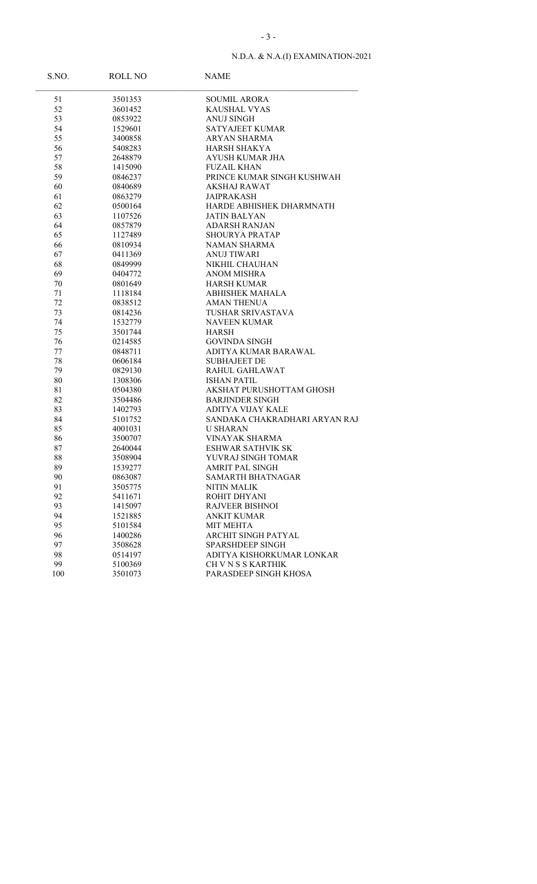| S.NO. | ROLL NO | <b>NAME</b>                   |
|-------|---------|-------------------------------|
| 51    | 3501353 | <b>SOUMIL ARORA</b>           |
| 52    | 3601452 | KAUSHAL VYAS                  |
| 53    | 0853922 | <b>ANUJ SINGH</b>             |
| 54    | 1529601 | SATYAJEET KUMAR               |
| 55    | 3400858 | ARYAN SHARMA                  |
| 56    | 5408283 | HARSH SHAKYA                  |
| 57    | 2648879 | AYUSH KUMAR JHA               |
| 58    | 1415090 | <b>FUZAIL KHAN</b>            |
| 59    | 0846237 | PRINCE KUMAR SINGH KUSHWAH    |
| 60    | 0840689 | AKSHAJ RAWAT                  |
| 61    | 0863279 | <b>JAIPRAKASH</b>             |
| 62    | 0500164 | HARDE ABHISHEK DHARMNATH      |
| 63    | 1107526 | JATIN BALYAN                  |
| 64    | 0857879 | ADARSH RANJAN                 |
| 65    | 1127489 | <b>SHOURYA PRATAP</b>         |
| 66    | 0810934 | NAMAN SHARMA                  |
| 67    | 0411369 | <b>ANUJ TIWARI</b>            |
| 68    | 0849999 | NIKHIL CHAUHAN                |
| 69    | 0404772 | ANOM MISHRA                   |
| 70    | 0801649 | <b>HARSH KUMAR</b>            |
| 71    | 1118184 | <b>ABHISHEK MAHALA</b>        |
| 72    | 0838512 | <b>AMAN THENUA</b>            |
| 73    | 0814236 | <b>TUSHAR SRIVASTAVA</b>      |
| 74    | 1532779 | <b>NAVEEN KUMAR</b>           |
| 75    | 3501744 | HARSH                         |
| 76    | 0214585 | <b>GOVINDA SINGH</b>          |
| 77    | 0848711 | ADITYA KUMAR BARAWAL          |
| 78    | 0606184 | <b>SUBHAJEET DE</b>           |
| 79    | 0829130 | RAHUL GAHLAWAT                |
| 80    | 1308306 | <b>ISHAN PATIL</b>            |
| 81    | 0504380 | AKSHAT PURUSHOTTAM GHOSH      |
| 82    | 3504486 | <b>BARJINDER SINGH</b>        |
| 83    | 1402793 | <b>ADITYA VIJAY KALE</b>      |
| 84    | 5101752 | SANDAKA CHAKRADHARI ARYAN RAJ |
| 85    | 4001031 | U SHARAN                      |
| 86    | 3500707 | <b>VINAYAK SHARMA</b>         |
| 87    | 2640044 | <b>ESHWAR SATHVIK SK</b>      |
| 88    | 3508904 | YUVRAJ SINGH TOMAR            |
| 89    | 1539277 | <b>AMRIT PAL SINGH</b>        |
| 90    | 0863087 | <b>SAMARTH BHATNAGAR</b>      |
| 91    | 3505775 | <b>NITIN MALIK</b>            |
| 92    | 5411671 | ROHIT DHYANI                  |
| 93    | 1415097 | <b>RAJVEER BISHNOI</b>        |
| 94    | 1521885 | <b>ANKIT KUMAR</b>            |
| 95    | 5101584 | <b>MIT MEHTA</b>              |
| 96    | 1400286 | ARCHIT SINGH PATYAL           |
| 97    | 3508628 | <b>SPARSHDEEP SINGH</b>       |
| 98    | 0514197 | ADITYA KISHORKUMAR LONKAR     |
| 99    | 5100369 | CH V N S S KARTHIK            |
| 100   | 3501073 | PARASDEEP SINGH KHOSA         |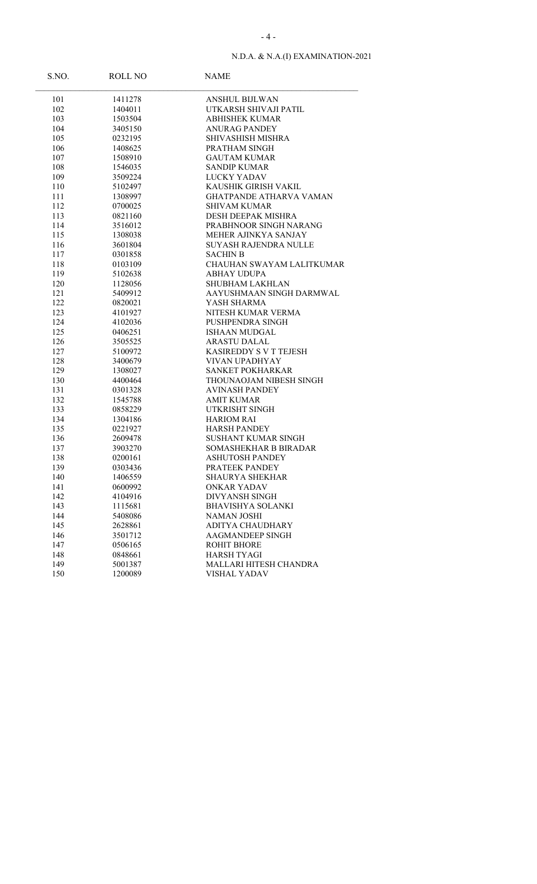| S.NO. | ROLL NO | <b>NAME</b>                    |
|-------|---------|--------------------------------|
| 101   | 1411278 | <b>ANSHUL BIJLWAN</b>          |
| 102   | 1404011 | UTKARSH SHIVAJI PATIL          |
| 103   | 1503504 | <b>ABHISHEK KUMAR</b>          |
| 104   | 3405150 | <b>ANURAG PANDEY</b>           |
| 105   | 0232195 | SHIVASHISH MISHRA              |
| 106   | 1408625 | PRATHAM SINGH                  |
| 107   | 1508910 | <b>GAUTAM KUMAR</b>            |
| 108   | 1546035 | <b>SANDIP KUMAR</b>            |
| 109   | 3509224 | LUCKY YADAV                    |
| 110   | 5102497 | KAUSHIK GIRISH VAKIL           |
| 111   | 1308997 | <b>GHATPANDE ATHARVA VAMAN</b> |
| 112   | 0700025 | <b>SHIVAM KUMAR</b>            |
| 113   | 0821160 | DESH DEEPAK MISHRA             |
| 114   | 3516012 | PRABHNOOR SINGH NARANG         |
| 115   | 1308038 | MEHER AJINKYA SANJAY           |
| 116   | 3601804 | SUYASH RAJENDRA NULLE          |
| 117   | 0301858 | <b>SACHIN B</b>                |
| 118   | 0103109 | CHAUHAN SWAYAM LALITKUMAR      |
| 119   | 5102638 | <b>ABHAY UDUPA</b>             |
| 120   | 1128056 | <b>SHUBHAM LAKHLAN</b>         |
| 121   | 5409912 | AAYUSHMAAN SINGH DARMWAL       |
| 122   | 0820021 | YASH SHARMA                    |
| 123   | 4101927 | NITESH KUMAR VERMA             |
| 124   | 4102036 | PUSHPENDRA SINGH               |
| 125   | 0406251 | ISHAAN MUDGAL                  |
| 126   | 3505525 | <b>ARASTU DALAL</b>            |
| 127   | 5100972 | KASIREDDY S V T TEJESH         |
| 128   | 3400679 | <b>VIVAN UPADHYAY</b>          |
| 129   | 1308027 | SANKET POKHARKAR               |
| 130   | 4400464 | THOUNAOJAM NIBESH SINGH        |
| 131   | 0301328 | <b>AVINASH PANDEY</b>          |
| 132   | 1545788 | <b>AMIT KUMAR</b>              |
| 133   | 0858229 | UTKRISHT SINGH                 |
| 134   | 1304186 | <b>HARIOM RAI</b>              |
| 135   | 0221927 | <b>HARSH PANDEY</b>            |
| 136   | 2609478 | SUSHANT KUMAR SINGH            |
| 137   | 3903270 | SOMASHEKHAR B BIRADAR          |
| 138   | 0200161 | <b>ASHUTOSH PANDEY</b>         |
| 139   | 0303436 | PRATEEK PANDEY                 |
| 140   | 1406559 | <b>SHAURYA SHEKHAR</b>         |
| 141   | 0600992 | <b>ONKAR YADAV</b>             |
| 142   | 4104916 | DIVYANSH SINGH                 |
| 143   | 1115681 | <b>BHAVISHYA SOLANKI</b>       |
| 144   | 5408086 | <b>NAMAN JOSHI</b>             |
| 145   | 2628861 | ADITYA CHAUDHARY               |
| 146   | 3501712 | <b>AAGMANDEEP SINGH</b>        |
| 147   | 0506165 | <b>ROHIT BHORE</b>             |
| 148   | 0848661 | <b>HARSH TYAGI</b>             |
| 149   | 5001387 | MALLARI HITESH CHANDRA         |
| 150   | 1200089 | <b>VISHAL YADAV</b>            |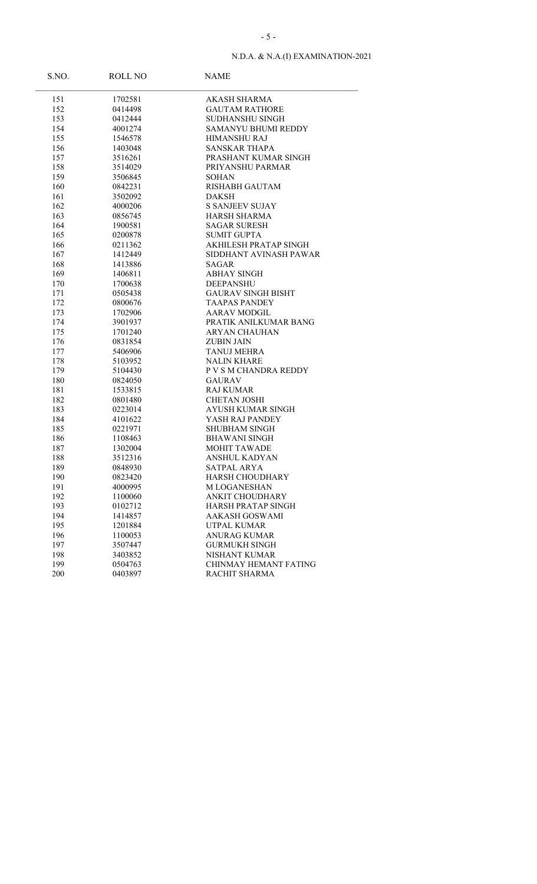| S.NO. | ROLL NO | NAME                      |
|-------|---------|---------------------------|
| 151   | 1702581 | AKASH SHARMA              |
| 152   | 0414498 | <b>GAUTAM RATHORE</b>     |
| 153   | 0412444 | <b>SUDHANSHU SINGH</b>    |
| 154   | 4001274 | SAMANYU BHUMI REDDY       |
| 155   | 1546578 | <b>HIMANSHU RAJ</b>       |
| 156   | 1403048 | SANSKAR THAPA             |
| 157   | 3516261 | PRASHANT KUMAR SINGH      |
| 158   | 3514029 | PRIYANSHU PARMAR          |
| 159   | 3506845 | <b>SOHAN</b>              |
| 160   | 0842231 | <b>RISHABH GAUTAM</b>     |
| 161   | 3502092 | DAKSH                     |
| 162   | 4000206 | <b>S SANJEEV SUJAY</b>    |
| 163   | 0856745 | <b>HARSH SHARMA</b>       |
| 164   | 1900581 | <b>SAGAR SURESH</b>       |
| 165   | 0200878 | <b>SUMIT GUPTA</b>        |
| 166   | 0211362 | AKHILESH PRATAP SINGH     |
| 167   | 1412449 | SIDDHANT AVINASH PAWAR    |
| 168   | 1413886 | SAGAR                     |
| 169   | 1406811 | <b>ABHAY SINGH</b>        |
| 170   | 1700638 | DEEPANSHU                 |
| 171   | 0505438 | <b>GAURAV SINGH BISHT</b> |
| 172   | 0800676 | <b>TAAPAS PANDEY</b>      |
| 173   | 1702906 | <b>AARAV MODGIL</b>       |
| 174   | 3901937 | PRATIK ANILKUMAR BANG     |
| 175   | 1701240 | <b>ARYAN CHAUHAN</b>      |
| 176   | 0831854 | <b>ZUBIN JAIN</b>         |
| 177   | 5406906 | <b>TANUJ MEHRA</b>        |
| 178   | 5103952 | <b>NALIN KHARE</b>        |
| 179   | 5104430 | P V S M CHANDRA REDDY     |
| 180   | 0824050 | <b>GAURAV</b>             |
| 181   | 1533815 | RAJ KUMAR                 |
| 182   | 0801480 | <b>CHETAN JOSHI</b>       |
| 183   | 0223014 | AYUSH KUMAR SINGH         |
| 184   | 4101622 | YASH RAJ PANDEY           |
| 185   | 0221971 | SHUBHAM SINGH             |
| 186   | 1108463 | <b>BHAWANI SINGH</b>      |
| 187   | 1302004 | <b>MOHIT TAWADE</b>       |
| 188   | 3512316 | ANSHUL KADYAN             |
| 189   | 0848930 | SATPAL ARYA               |
| 190   | 0823420 | HARSH CHOUDHARY           |
| 191   | 4000995 | <b>MLOGANESHAN</b>        |
| 192   | 1100060 | <b>ANKIT CHOUDHARY</b>    |
| 193   | 0102712 | HARSH PRATAP SINGH        |
| 194   | 1414857 | AAKASH GOSWAMI            |
| 195   | 1201884 | UTPAL KUMAR               |
| 196   | 1100053 | <b>ANURAG KUMAR</b>       |
| 197   | 3507447 | <b>GURMUKH SINGH</b>      |
| 198   | 3403852 | NISHANT KUMAR             |
| 199   | 0504763 | CHINMAY HEMANT FATING     |
| 200   | 0403897 | RACHIT SHARMA             |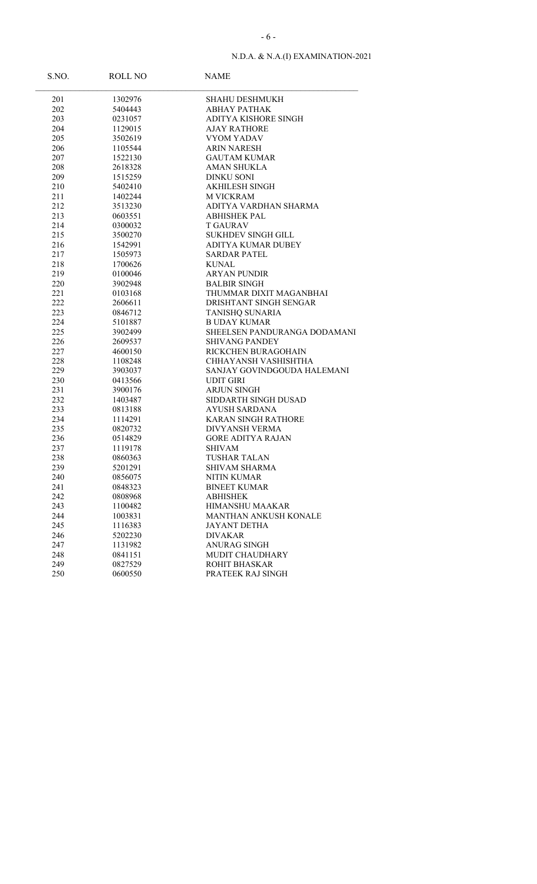| S.NO.      | <b>ROLL NO</b>     | <b>NAME</b>                          |
|------------|--------------------|--------------------------------------|
| 201        | 1302976            | <b>SHAHU DESHMUKH</b>                |
| 202        | 5404443            | АВНАҮ РАТНАК                         |
| 203        | 0231057            | ADITYA KISHORE SINGH                 |
| 204        | 1129015            | <b>AJAY RATHORE</b>                  |
| 205        | 3502619            | VYOM YADAV                           |
| 206        | 1105544            | <b>ARIN NARESH</b>                   |
| 207        | 1522130            | <b>GAUTAM KUMAR</b>                  |
| 208        | 2618328            | <b>AMAN SHUKLA</b>                   |
| 209        | 1515259            | <b>DINKU SONI</b>                    |
| 210        | 5402410            | <b>AKHILESH SINGH</b>                |
| 211        | 1402244            | <b>M VICKRAM</b>                     |
| 212        | 3513230            | ADITYA VARDHAN SHARMA                |
| 213        | 0603551            | ABHISHEK PAL                         |
| 214        | 0300032            | <b>T GAURAV</b>                      |
| 215        | 3500270            | <b>SUKHDEV SINGH GILL</b>            |
| 216        | 1542991            | <b>ADITYA KUMAR DUBEY</b>            |
| 217        | 1505973            | <b>SARDAR PATEL</b>                  |
| 218        | 1700626            | <b>KUNAL</b>                         |
| 219        | 0100046            | <b>ARYAN PUNDIR</b>                  |
| 220        | 3902948            | <b>BALBIR SINGH</b>                  |
| 221        | 0103168            | THUMMAR DIXIT MAGANBHAI              |
| 222        | 2606611            | DRISHTANT SINGH SENGAR               |
| 223        | 0846712            | TANISHQ SUNARIA                      |
| 224        | 5101887            | <b>B UDAY KUMAR</b>                  |
| 225        | 3902499            | SHEELSEN PANDURANGA DODAMANI         |
| 226        | 2609537            | <b>SHIVANG PANDEY</b>                |
| 227        | 4600150            | RICKCHEN BURAGOHAIN                  |
| 228        | 1108248            | CHHAYANSH VASHISHTHA                 |
| 229        | 3903037            | SANJAY GOVINDGOUDA HALEMANI          |
| 230        | 0413566            | UDIT GIRI                            |
| 231        | 3900176            | <b>ARJUN SINGH</b>                   |
| 232        | 1403487            | SIDDARTH SINGH DUSAD                 |
| 233        | 0813188            | <b>AYUSH SARDANA</b>                 |
| 234        | 1114291            | <b>KARAN SINGH RATHORE</b>           |
| 235        | 0820732            | DIVYANSH VERMA                       |
| 236        | 0514829            | <b>GORE ADITYA RAJAN</b>             |
| 237        | 1119178            | <b>SHIVAM</b><br><b>TUSHAR TALAN</b> |
| 238<br>239 | 0860363<br>5201291 | SHIVAM SHARMA                        |
|            |                    | <b>NITIN KUMAR</b>                   |
| 240<br>241 | 0856075<br>0848323 | <b>BINEET KUMAR</b>                  |
| 242        | 0808968            | <b>ABHISHEK</b>                      |
| 243        | 1100482            | <b>HIMANSHU MAAKAR</b>               |
| 244        | 1003831            | MANTHAN ANKUSH KONALE                |
| 245        | 1116383            | <b>JAYANT DETHA</b>                  |
| 246        | 5202230            | <b>DIVAKAR</b>                       |
| 247        | 1131982            | <b>ANURAG SINGH</b>                  |
| 248        | 0841151            | <b>MUDIT CHAUDHARY</b>               |
| 249        | 0827529            | ROHIT BHASKAR                        |
| 250        | 0600550            | PRATEEK RAJ SINGH                    |
|            |                    |                                      |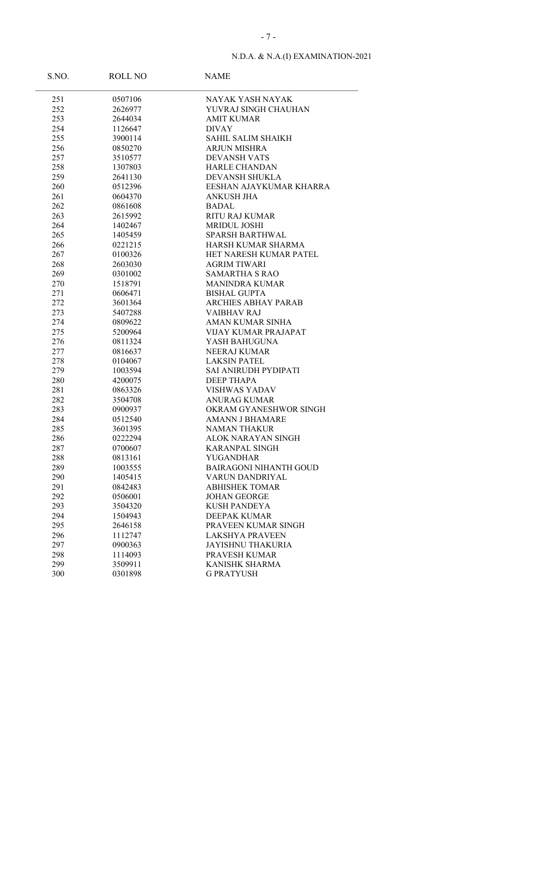| S.NO.      | ROLL NO            | <b>NAME</b>                                |
|------------|--------------------|--------------------------------------------|
| 251        | 0507106            | NAYAK YASH NAYAK                           |
| 252        | 2626977            | YUVRAJ SINGH CHAUHAN                       |
| 253        | 2644034            | <b>AMIT KUMAR</b>                          |
| 254        | 1126647            | <b>DIVAY</b>                               |
| 255        | 3900114            | SAHIL SALIM SHAIKH                         |
| 256        | 0850270            | <b>ARJUN MISHRA</b>                        |
| 257        | 3510577            | <b>DEVANSH VATS</b>                        |
| 258        | 1307803            | <b>HARLE CHANDAN</b>                       |
| 259        | 2641130            | DEVANSH SHUKLA                             |
| 260        | 0512396            | EESHAN AJAYKUMAR KHARRA                    |
| 261        | 0604370            | ANKUSH JHA                                 |
| 262        | 0861608            | BADAL                                      |
| 263        | 2615992            | <b>RITU RAJ KUMAR</b>                      |
| 264        | 1402467            | <b>MRIDUL JOSHI</b>                        |
| 265        | 1405459            | <b>SPARSH BARTHWAL</b>                     |
| 266        | 0221215            | HARSH KUMAR SHARMA                         |
| 267        | 0100326            | HET NARESH KUMAR PATEL                     |
| 268        | 2603030            | <b>AGRIM TIWARI</b>                        |
| 269        | 0301002            | <b>SAMARTHA S RAO</b>                      |
| 270        | 1518791            | <b>MANINDRA KUMAR</b>                      |
| 271        | 0606471            | <b>BISHAL GUPTA</b>                        |
| 272        | 3601364            | <b>ARCHIES ABHAY PARAB</b>                 |
| 273        | 5407288            | <b>VAIBHAV RAJ</b>                         |
| 274        | 0809622            | AMAN KUMAR SINHA                           |
| 275        | 5200964            | VIJAY KUMAR PRAJAPAT                       |
| 276        | 0811324            | YASH BAHUGUNA                              |
| 277        | 0816637            | <b>NEERAJ KUMAR</b>                        |
| 278        | 0104067            | <b>LAKSIN PATEL</b>                        |
| 279        | 1003594            | SAI ANIRUDH PYDIPATI                       |
| 280        | 4200075            | <b>DEEP THAPA</b>                          |
| 281        | 0863326            | <b>VISHWAS YADAV</b>                       |
| 282        | 3504708            | ANURAG KUMAR                               |
| 283        | 0900937            | OKRAM GYANESHWOR SINGH                     |
| 284        | 0512540            | <b>AMANN J BHAMARE</b>                     |
| 285        | 3601395            | NAMAN THAKUR                               |
| 286        | 0222294            | ALOK NARAYAN SINGH                         |
| 287        | 0700607            | <b>KARANPAL SINGH</b>                      |
| 288<br>289 | 0813161            | YUGANDHAR<br><b>BAIRAGONI NIHANTH GOUD</b> |
|            | 1003555<br>1405415 |                                            |
| 290<br>291 |                    | VARUN DANDRIYAL<br><b>ABHISHEK TOMAR</b>   |
| 292        | 0842483<br>0506001 | <b>JOHAN GEORGE</b>                        |
| 293        | 3504320            | <b>KUSH PANDEYA</b>                        |
| 294        | 1504943            | DEEPAK KUMAR                               |
| 295        | 2646158            | PRAVEEN KUMAR SINGH                        |
| 296        | 1112747            | <b>LAKSHYA PRAVEEN</b>                     |
| 297        | 0900363            | <b>JAYISHNU THAKURIA</b>                   |
| 298        | 1114093            | PRAVESH KUMAR                              |
| 299        | 3509911            | KANISHK SHARMA                             |
| 300        | 0301898            | <b>G PRATYUSH</b>                          |
|            |                    |                                            |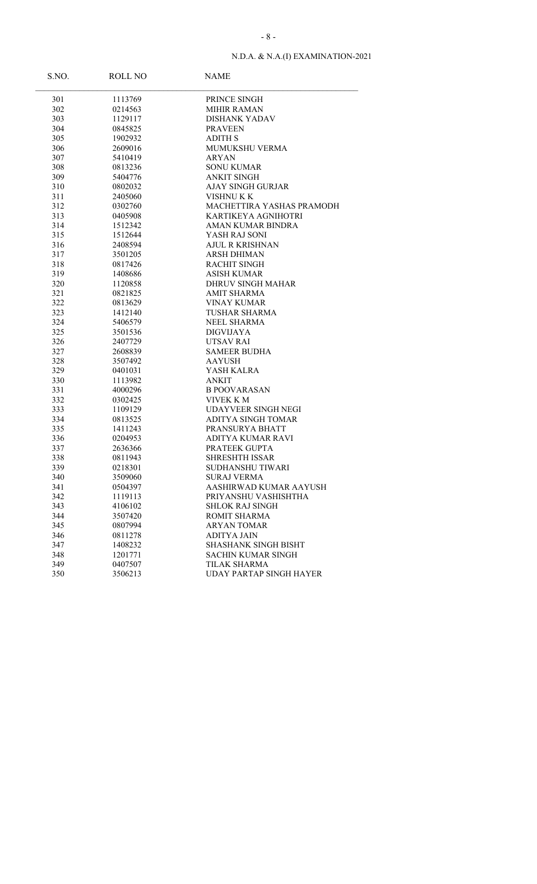| S.NO. | <b>ROLL NO</b> | <b>NAME</b>                    |
|-------|----------------|--------------------------------|
| 301   | 1113769        | PRINCE SINGH                   |
| 302   | 0214563        | <b>MIHIR RAMAN</b>             |
| 303   | 1129117        | <b>DISHANK YADAV</b>           |
| 304   | 0845825        | <b>PRAVEEN</b>                 |
| 305   | 1902932        | <b>ADITH S</b>                 |
| 306   | 2609016        | <b>MUMUKSHU VERMA</b>          |
| 307   | 5410419        | <b>ARYAN</b>                   |
| 308   | 0813236        | <b>SONU KUMAR</b>              |
| 309   | 5404776        | <b>ANKIT SINGH</b>             |
| 310   | 0802032        | <b>AJAY SINGH GURJAR</b>       |
| 311   | 2405060        | VISHNU K K                     |
| 312   | 0302760        | MACHETTIRA YASHAS PRAMODH      |
| 313   | 0405908        | KARTIKEYA AGNIHOTRI            |
| 314   | 1512342        | AMAN KUMAR BINDRA              |
| 315   | 1512644        | YASH RAJ SONI                  |
| 316   | 2408594        | <b>AJUL R KRISHNAN</b>         |
| 317   | 3501205        | ARSH DHIMAN                    |
| 318   | 0817426        | <b>RACHIT SINGH</b>            |
| 319   | 1408686        | <b>ASISH KUMAR</b>             |
| 320   | 1120858        | DHRUV SINGH MAHAR              |
| 321   | 0821825        | <b>AMIT SHARMA</b>             |
| 322   | 0813629        | <b>VINAY KUMAR</b>             |
| 323   | 1412140        | <b>TUSHAR SHARMA</b>           |
| 324   | 5406579        | NEEL SHARMA                    |
| 325   | 3501536        | DIGVIJAYA                      |
| 326   | 2407729        | <b>UTSAV RAI</b>               |
| 327   | 2608839        | <b>SAMEER BUDHA</b>            |
| 328   | 3507492        | <b>AAYUSH</b>                  |
| 329   | 0401031        | YASH KALRA                     |
| 330   | 1113982        | ANKIT                          |
| 331   | 4000296        | <b>B POOVARASAN</b>            |
| 332   | 0302425        | VIVEK K M                      |
| 333   | 1109129        | <b>UDAYVEER SINGH NEGI</b>     |
| 334   | 0813525        | <b>ADITYA SINGH TOMAR</b>      |
| 335   | 1411243        | PRANSURYA BHATT                |
| 336   | 0204953        | ADITYA KUMAR RAVI              |
| 337   | 2636366        | PRATEEK GUPTA                  |
| 338   | 0811943        | <b>SHRESHTH ISSAR</b>          |
| 339   | 0218301        | SUDHANSHU TIWARI               |
| 340   | 3509060        | <b>SURAJ VERMA</b>             |
| 341   | 0504397        | AASHIRWAD KUMAR AAYUSH         |
| 342   | 1119113        | PRIYANSHU VASHISHTHA           |
| 343   | 4106102        | <b>SHLOK RAJ SINGH</b>         |
| 344   | 3507420        | ROMIT SHARMA                   |
| 345   | 0807994        | <b>ARYAN TOMAR</b>             |
| 346   | 0811278        | <b>ADITYA JAIN</b>             |
| 347   | 1408232        | SHASHANK SINGH BISHT           |
| 348   | 1201771        | <b>SACHIN KUMAR SINGH</b>      |
| 349   | 0407507        | TILAK SHARMA                   |
| 350   | 3506213        | <b>UDAY PARTAP SINGH HAYER</b> |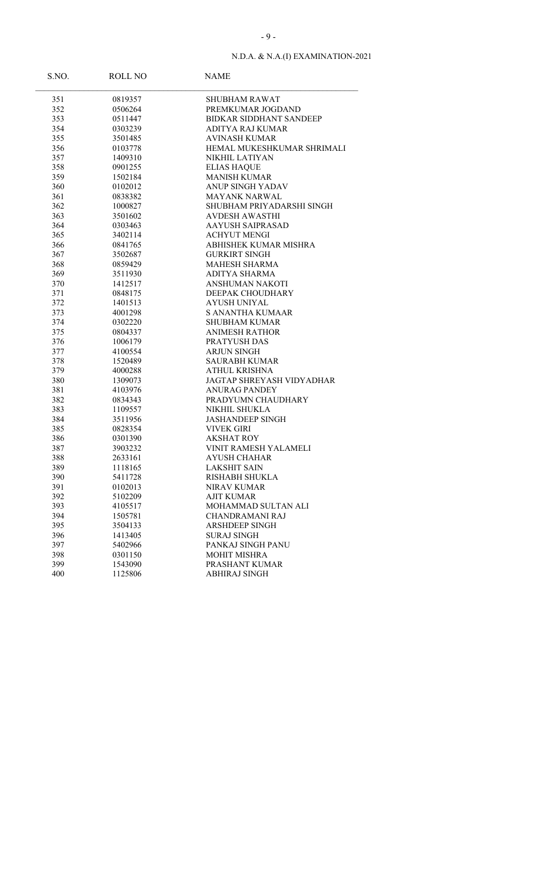| S.NO. | ROLL NO | <b>NAME</b>                    |
|-------|---------|--------------------------------|
| 351   | 0819357 | SHUBHAM RAWAT                  |
| 352   | 0506264 | PREMKUMAR JOGDAND              |
| 353   | 0511447 | <b>BIDKAR SIDDHANT SANDEEP</b> |
| 354   | 0303239 | ADITYA RAJ KUMAR               |
| 355   | 3501485 | <b>AVINASH KUMAR</b>           |
| 356   | 0103778 | HEMAL MUKESHKUMAR SHRIMALI     |
| 357   | 1409310 | NIKHIL LATIYAN                 |
| 358   | 0901255 | <b>ELIAS HAQUE</b>             |
| 359   | 1502184 | <b>MANISH KUMAR</b>            |
| 360   | 0102012 | <b>ANUP SINGH YADAV</b>        |
| 361   | 0838382 | <b>MAYANK NARWAL</b>           |
| 362   | 1000827 | SHUBHAM PRIYADARSHI SINGH      |
| 363   | 3501602 | <b>AVDESH AWASTHI</b>          |
| 364   | 0303463 | <b>AAYUSH SAIPRASAD</b>        |
| 365   | 3402114 | <b>ACHYUT MENGI</b>            |
| 366   | 0841765 | ABHISHEK KUMAR MISHRA          |
| 367   | 3502687 | <b>GURKIRT SINGH</b>           |
| 368   | 0859429 | <b>MAHESH SHARMA</b>           |
| 369   | 3511930 | <b>ADITYA SHARMA</b>           |
| 370   | 1412517 | ANSHUMAN NAKOTI                |
| 371   | 0848175 | DEEPAK CHOUDHARY               |
| 372   | 1401513 | <b>AYUSH UNIYAL</b>            |
| 373   | 4001298 | S ANANTHA KUMAAR               |
| 374   | 0302220 | <b>SHUBHAM KUMAR</b>           |
| 375   | 0804337 | <b>ANIMESH RATHOR</b>          |
| 376   | 1006179 | PRATYUSH DAS                   |
| 377   | 4100554 | <b>ARJUN SINGH</b>             |
| 378   | 1520489 | <b>SAURABH KUMAR</b>           |
| 379   | 4000288 | ATHUL KRISHNA                  |
| 380   | 1309073 | JAGTAP SHREYASH VIDYADHAR      |
| 381   | 4103976 | ANURAG PANDEY                  |
| 382   | 0834343 | PRADYUMN CHAUDHARY             |
| 383   | 1109557 | NIKHIL SHUKLA                  |
| 384   | 3511956 | <b>JASHANDEEP SINGH</b>        |
| 385   | 0828354 | <b>VIVEK GIRI</b>              |
| 386   | 0301390 | AKSHAT ROY                     |
| 387   | 3903232 | VINIT RAMESH YALAMELI          |
| 388   | 2633161 | AYUSH CHAHAR                   |
| 389   | 1118165 | <b>LAKSHIT SAIN</b>            |
| 390   | 5411728 | RISHABH SHUKLA                 |
| 391   | 0102013 | <b>NIRAV KUMAR</b>             |
| 392   | 5102209 | <b>AJIT KUMAR</b>              |
| 393   | 4105517 | MOHAMMAD SULTAN ALI            |
| 394   | 1505781 | <b>CHANDRAMANI RAJ</b>         |
| 395   | 3504133 | <b>ARSHDEEP SINGH</b>          |
| 396   | 1413405 | <b>SURAJ SINGH</b>             |
| 397   | 5402966 | PANKAJ SINGH PANU              |
| 398   | 0301150 | <b>MOHIT MISHRA</b>            |
| 399   | 1543090 | PRASHANT KUMAR                 |
| 400   | 1125806 | ABHIRAJ SINGH                  |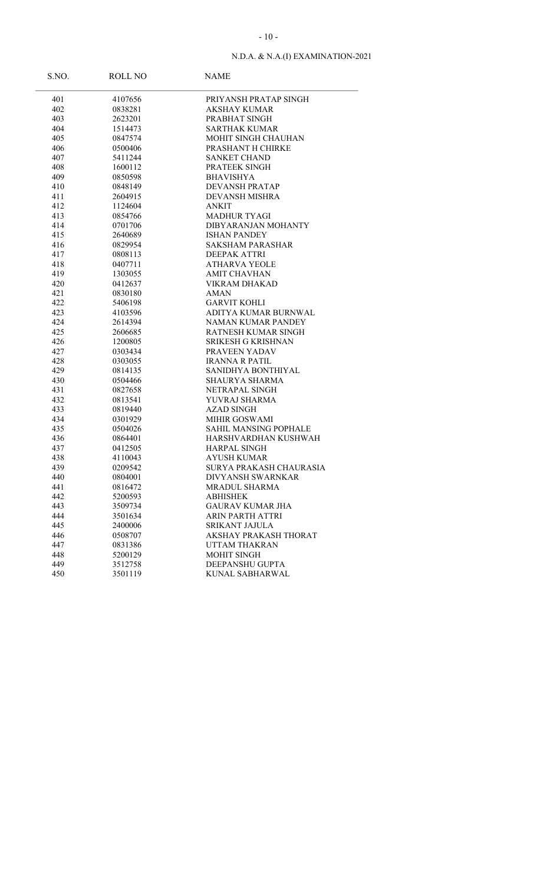| S.NO. | ROLL NO | <b>NAME</b>                  |
|-------|---------|------------------------------|
| 401   | 4107656 | PRIYANSH PRATAP SINGH        |
| 402   | 0838281 | AKSHAY KUMAR                 |
| 403   | 2623201 | PRABHAT SINGH                |
| 404   | 1514473 | <b>SARTHAK KUMAR</b>         |
| 405   | 0847574 | MOHIT SINGH CHAUHAN          |
| 406   | 0500406 | PRASHANT H CHIRKE            |
| 407   | 5411244 | <b>SANKET CHAND</b>          |
| 408   | 1600112 | PRATEEK SINGH                |
| 409   | 0850598 | <b>BHAVISHYA</b>             |
| 410   | 0848149 | <b>DEVANSH PRATAP</b>        |
| 411   | 2604915 | <b>DEVANSH MISHRA</b>        |
| 412   | 1124604 | <b>ANKIT</b>                 |
| 413   | 0854766 | <b>MADHUR TYAGI</b>          |
| 414   | 0701706 | DIBYARANJAN MOHANTY          |
| 415   | 2640689 | <b>ISHAN PANDEY</b>          |
| 416   | 0829954 | <b>SAKSHAM PARASHAR</b>      |
| 417   | 0808113 | DEEPAK ATTRI                 |
| 418   | 0407711 | <b>ATHARVA YEOLE</b>         |
| 419   | 1303055 | <b>AMIT CHAVHAN</b>          |
| 420   | 0412637 | VIKRAM DHAKAD                |
| 421   | 0830180 | AMAN                         |
| 422   | 5406198 | <b>GARVIT KOHLI</b>          |
| 423   | 4103596 | ADITYA KUMAR BURNWAL         |
| 424   | 2614394 | <b>NAMAN KUMAR PANDEY</b>    |
| 425   | 2606685 | RATNESH KUMAR SINGH          |
| 426   | 1200805 | SRIKESH G KRISHNAN           |
| 427   | 0303434 | PRAVEEN YADAV                |
| 428   | 0303055 | <b>IRANNA R PATIL</b>        |
| 429   | 0814135 | SANIDHYA BONTHIYAL           |
| 430   | 0504466 | SHAURYA SHARMA               |
| 431   | 0827658 | NETRAPAL SINGH               |
| 432   | 0813541 | YUVRAJ SHARMA                |
| 433   | 0819440 | <b>AZAD SINGH</b>            |
| 434   | 0301929 | MIHIR GOSWAMI                |
| 435   | 0504026 | <b>SAHIL MANSING POPHALE</b> |
| 436   | 0864401 | HARSHVARDHAN KUSHWAH         |
| 437   | 0412505 | <b>HARPAL SINGH</b>          |
| 438   | 4110043 | <b>AYUSH KUMAR</b>           |
| 439   | 0209542 | SURYA PRAKASH CHAURASIA      |
| 440   | 0804001 | <b>DIVYANSH SWARNKAR</b>     |
| 441   | 0816472 | <b>MRADUL SHARMA</b>         |
| 442   | 5200593 | <b>ABHISHEK</b>              |
| 443   | 3509734 | <b>GAURAV KUMAR JHA</b>      |
| 444   | 3501634 | <b>ARIN PARTH ATTRI</b>      |
| 445   | 2400006 | SRIKANT JAJULA               |
| 446   | 0508707 | AKSHAY PRAKASH THORAT        |
| 447   | 0831386 | <b>UTTAM THAKRAN</b>         |
| 448   | 5200129 | MOHIT SINGH                  |
| 449   | 3512758 | DEEPANSHU GUPTA              |
| 450   | 3501119 | <b>KUNAL SABHARWAL</b>       |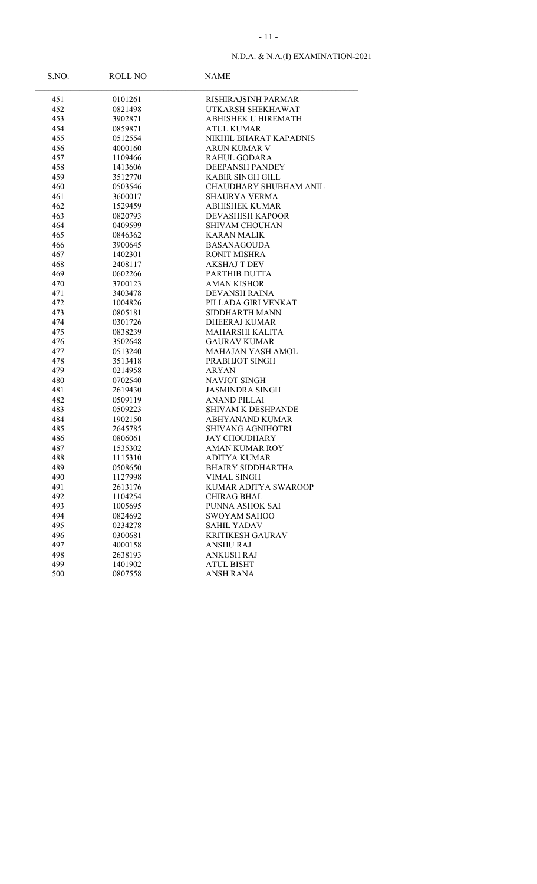| S.NO. | ROLL NO | <b>NAME</b>                   |
|-------|---------|-------------------------------|
| 451   | 0101261 | RISHIRAJSINH PARMAR           |
| 452   | 0821498 | UTKARSH SHEKHAWAT             |
| 453   | 3902871 | <b>ABHISHEK U HIREMATH</b>    |
| 454   | 0859871 | ATUL KUMAR                    |
| 455   | 0512554 | NIKHIL BHARAT KAPADNIS        |
| 456   | 4000160 | ARUN KUMAR V                  |
| 457   | 1109466 | RAHUL GODARA                  |
| 458   | 1413606 | <b>DEEPANSH PANDEY</b>        |
| 459   | 3512770 | <b>KABIR SINGH GILL</b>       |
| 460   | 0503546 | <b>CHAUDHARY SHUBHAM ANIL</b> |
| 461   | 3600017 | SHAURYA VERMA                 |
| 462   | 1529459 | <b>ABHISHEK KUMAR</b>         |
| 463   | 0820793 | <b>DEVASHISH KAPOOR</b>       |
| 464   | 0409599 | <b>SHIVAM CHOUHAN</b>         |
| 465   | 0846362 | <b>KARAN MALIK</b>            |
| 466   | 3900645 | <b>BASANAGOUDA</b>            |
| 467   | 1402301 | <b>RONIT MISHRA</b>           |
| 468   | 2408117 | <b>AKSHAJ T DEV</b>           |
| 469   | 0602266 | PARTHIB DUTTA                 |
| 470   | 3700123 | <b>AMAN KISHOR</b>            |
| 471   | 3403478 | <b>DEVANSH RAINA</b>          |
| 472   | 1004826 | PILLADA GIRI VENKAT           |
| 473   | 0805181 | SIDDHARTH MANN                |
| 474   | 0301726 | <b>DHEERAJ KUMAR</b>          |
| 475   | 0838239 | MAHARSHI KALITA               |
| 476   | 3502648 | <b>GAURAV KUMAR</b>           |
| 477   | 0513240 | MAHAJAN YASH AMOL             |
| 478   | 3513418 | PRABHJOT SINGH                |
| 479   | 0214958 | ARYAN                         |
| 480   | 0702540 | <b>NAVJOT SINGH</b>           |
| 481   | 2619430 | <b>JASMINDRA SINGH</b>        |
| 482   | 0509119 | ANAND PILLAI                  |
| 483   | 0509223 | <b>SHIVAM K DESHPANDE</b>     |
| 484   | 1902150 | <b>ABHYANAND KUMAR</b>        |
| 485   | 2645785 | SHIVANG AGNIHOTRI             |
| 486   | 0806061 | JAY CHOUDHARY                 |
| 487   | 1535302 | <b>AMAN KUMAR ROY</b>         |
| 488   | 1115310 | ADITYA KUMAR                  |
| 489   | 0508650 | <b>BHAIRY SIDDHARTHA</b>      |
| 490   | 1127998 | <b>VIMAL SINGH</b>            |
| 491   | 2613176 | KUMAR ADITYA SWAROOP          |
| 492   | 1104254 | <b>CHIRAG BHAL</b>            |
| 493   | 1005695 | PUNNA ASHOK SAI               |
| 494   | 0824692 | <b>SWOYAM SAHOO</b>           |
| 495   | 0234278 | <b>SAHIL YADAV</b>            |
| 496   | 0300681 | <b>KRITIKESH GAURAV</b>       |
| 497   | 4000158 | <b>ANSHU RAJ</b>              |
| 498   | 2638193 | <b>ANKUSH RAJ</b>             |
| 499   | 1401902 | <b>ATUL BISHT</b>             |
| 500   | 0807558 | <b>ANSH RANA</b>              |